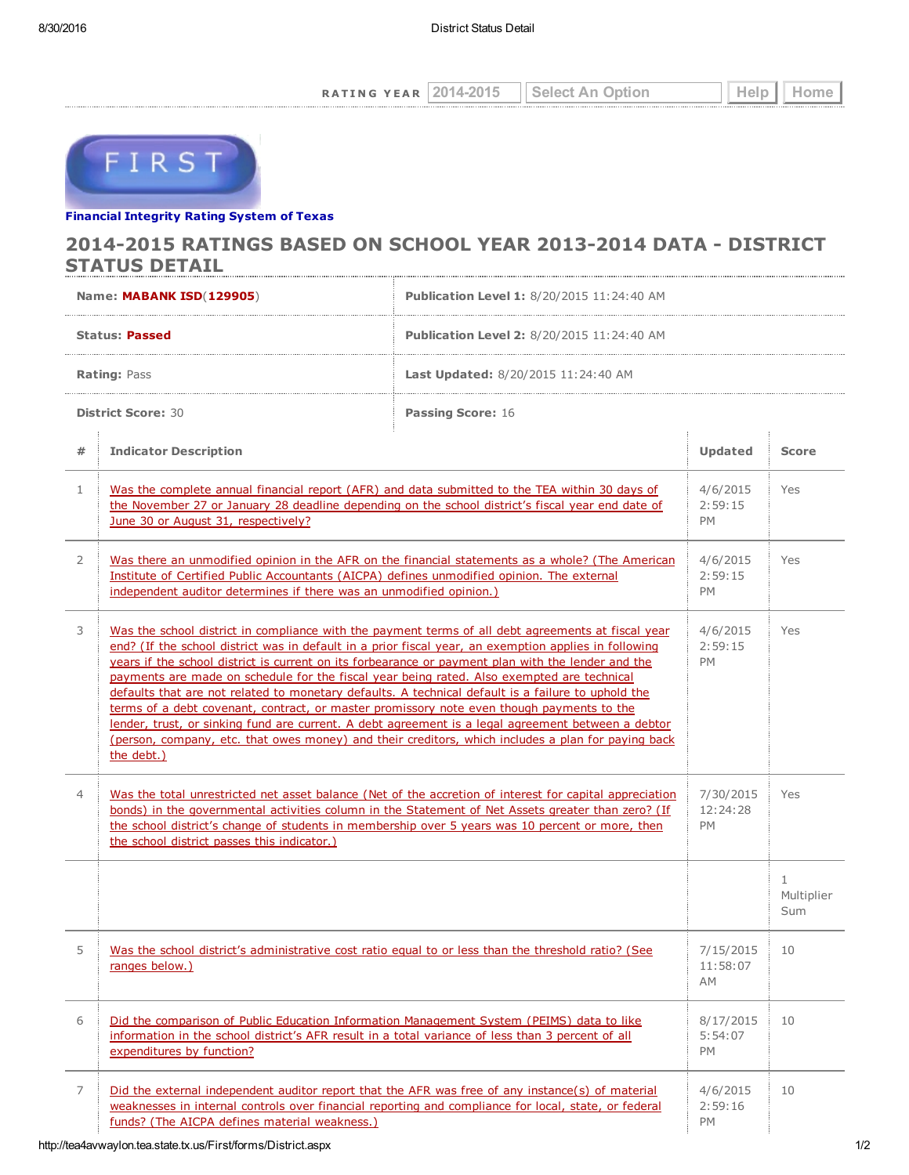RATING YEAR 2014-2015 Select An Option Help Home



## Financial [Integrity](http://tea4avwaylon.tea.state.tx.us/First/forms/main.aspx) Rating System of Texas

## 2014-2015 RATINGS BASED ON SCHOOL YEAR 2013-2014 DATA - DISTRICT STATUS DETAIL

| Name: MABANK ISD(129905)  |                                                                                                                                                                                                                                                                                                                                                                                                                                                                                                                                                                                                                                                                                                                                                                                                                                              | <b>Publication Level 1: 8/20/2015 11:24:40 AM</b> |                                    |                        |
|---------------------------|----------------------------------------------------------------------------------------------------------------------------------------------------------------------------------------------------------------------------------------------------------------------------------------------------------------------------------------------------------------------------------------------------------------------------------------------------------------------------------------------------------------------------------------------------------------------------------------------------------------------------------------------------------------------------------------------------------------------------------------------------------------------------------------------------------------------------------------------|---------------------------------------------------|------------------------------------|------------------------|
| Status: Passed            |                                                                                                                                                                                                                                                                                                                                                                                                                                                                                                                                                                                                                                                                                                                                                                                                                                              | <b>Publication Level 2:</b> 8/20/2015 11:24:40 AM |                                    |                        |
| <b>Rating: Pass</b>       |                                                                                                                                                                                                                                                                                                                                                                                                                                                                                                                                                                                                                                                                                                                                                                                                                                              | <b>Last Updated: 8/20/2015 11:24:40 AM</b>        |                                    |                        |
| <b>District Score: 30</b> |                                                                                                                                                                                                                                                                                                                                                                                                                                                                                                                                                                                                                                                                                                                                                                                                                                              | <b>Passing Score: 16</b>                          |                                    |                        |
| #                         | <b>Indicator Description</b>                                                                                                                                                                                                                                                                                                                                                                                                                                                                                                                                                                                                                                                                                                                                                                                                                 |                                                   | Updated                            | <b>Score</b>           |
| $\mathbf{1}$              | Was the complete annual financial report (AFR) and data submitted to the TEA within 30 days of<br>the November 27 or January 28 deadline depending on the school district's fiscal year end date of<br>June 30 or August 31, respectively?                                                                                                                                                                                                                                                                                                                                                                                                                                                                                                                                                                                                   |                                                   | 4/6/2015<br>2:59:15<br><b>PM</b>   | Yes                    |
| 2                         | Was there an unmodified opinion in the AFR on the financial statements as a whole? (The American<br>Institute of Certified Public Accountants (AICPA) defines unmodified opinion. The external<br>independent auditor determines if there was an unmodified opinion.)                                                                                                                                                                                                                                                                                                                                                                                                                                                                                                                                                                        |                                                   | 4/6/2015<br>2:59:15<br><b>PM</b>   | Yes                    |
| 3                         | Was the school district in compliance with the payment terms of all debt agreements at fiscal year<br>end? (If the school district was in default in a prior fiscal year, an exemption applies in following<br>years if the school district is current on its forbearance or payment plan with the lender and the<br>payments are made on schedule for the fiscal year being rated. Also exempted are technical<br>defaults that are not related to monetary defaults. A technical default is a failure to uphold the<br>terms of a debt covenant, contract, or master promissory note even though payments to the<br>lender, trust, or sinking fund are current. A debt agreement is a legal agreement between a debtor<br>(person, company, etc. that owes money) and their creditors, which includes a plan for paying back<br>the debt.) |                                                   | 4/6/2015<br>2:59:15<br><b>PM</b>   | Yes                    |
| 4                         | Was the total unrestricted net asset balance (Net of the accretion of interest for capital appreciation<br>bonds) in the governmental activities column in the Statement of Net Assets greater than zero? (If<br>the school district's change of students in membership over 5 years was 10 percent or more, then<br>the school district passes this indicator.)                                                                                                                                                                                                                                                                                                                                                                                                                                                                             |                                                   | 7/30/2015<br>12:24:28<br><b>PM</b> | Yes                    |
|                           |                                                                                                                                                                                                                                                                                                                                                                                                                                                                                                                                                                                                                                                                                                                                                                                                                                              |                                                   |                                    | 1<br>Multiplier<br>Sum |
| C                         | <u>Was the school district's administrative cost ratio equal to or less than the threshold ratio? (See</u><br>ranges below.)                                                                                                                                                                                                                                                                                                                                                                                                                                                                                                                                                                                                                                                                                                                 |                                                   | 7/15/2015<br>11:58:07<br>AM        | 10                     |
| 6                         | Did the comparison of Public Education Information Management System (PEIMS) data to like<br>information in the school district's AFR result in a total variance of less than 3 percent of all<br>expenditures by function?                                                                                                                                                                                                                                                                                                                                                                                                                                                                                                                                                                                                                  |                                                   | 8/17/2015<br>5:54:07<br>PM         | 10                     |
| 7                         | Did the external independent auditor report that the AFR was free of any instance(s) of material<br>weaknesses in internal controls over financial reporting and compliance for local, state, or federal<br>funds? (The AICPA defines material weakness.)                                                                                                                                                                                                                                                                                                                                                                                                                                                                                                                                                                                    |                                                   | 4/6/2015<br>2:59:16<br>PM          | 10                     |